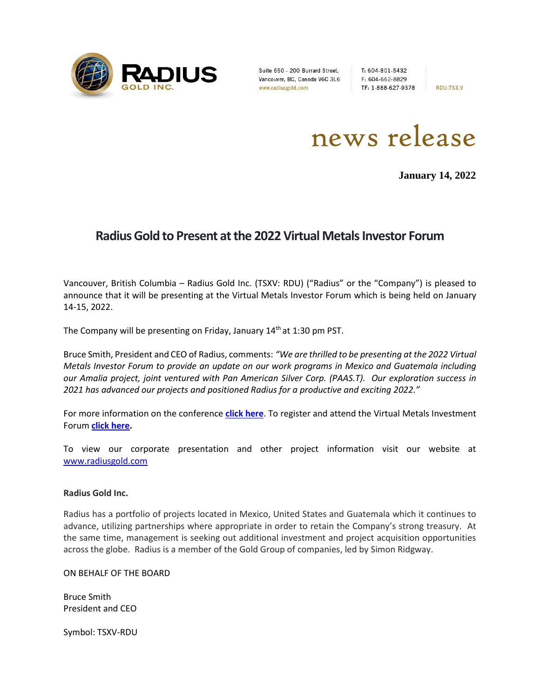

Suite 650 - 200 Burrard Street, T: 604-801-5432<br>
Vancouver, BC, Canada V6C 3L6 F: 604-662-8829<br>
www.radiusgold.com TF: 1-888-627-9378

**RDU:TSX.V** 

news release

**January 14, 2022**

## **Radius Gold to Present at the 2022 Virtual Metals Investor Forum**

Vancouver, British Columbia – Radius Gold Inc. (TSXV: RDU) ("Radius" or the "Company") is pleased to announce that it will be presenting at the Virtual Metals Investor Forum which is being held on January 14-15, 2022.

The Company will be presenting on Friday, January 14<sup>th</sup> at 1:30 pm PST.

Bruce Smith, President and CEO of Radius, comments: *"We are thrilled to be presenting at the 2022 Virtual Metals Investor Forum to provide an update on our work programs in Mexico and Guatemala including our Amalia project, joint ventured with Pan American Silver Corp. (PAAS.T). Our exploration success in 2021 has advanced our projects and positioned Radius for a productive and exciting 2022."*

For more information on the conference **[click here](https://metalsinvestorforum.com/)**. To register and attend the Virtual Metals Investment Forum **click [here.](https://web.cvent.com/event/266ddb97-0afe-4214-9300-6d7ca9f83ee2/regProcessStep1:ea630172-abce-4673-8877-0d1222267e46)**

To view our corporate presentation and other project information visit our website at [www.radiusgold.com](http://www.radiusgold.com/)

## **Radius Gold Inc.**

Radius has a portfolio of projects located in Mexico, United States and Guatemala which it continues to advance, utilizing partnerships where appropriate in order to retain the Company's strong treasury. At the same time, management is seeking out additional investment and project acquisition opportunities across the globe. Radius is a member of the Gold Group of companies, led by Simon Ridgway.

ON BEHALF OF THE BOARD

Bruce Smith President and CEO

Symbol: TSXV-RDU